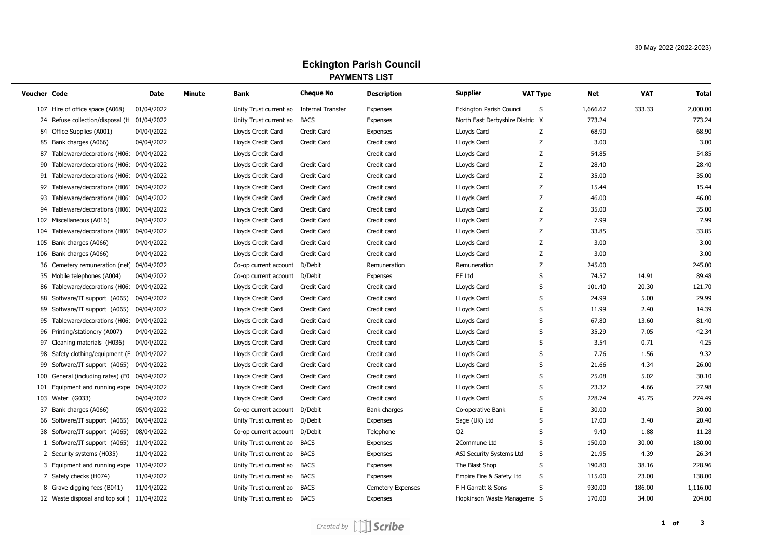# **Eckington Parish Council PAYMENTS LIST**

| Voucher Code |                                            | Date       | <b>Minute</b> | Bank                   | <b>Cheque No</b>         | <b>Description</b>       | <b>Supplier</b>                 | <b>VAT Type</b> | Net      | <b>VAT</b> | Total    |
|--------------|--------------------------------------------|------------|---------------|------------------------|--------------------------|--------------------------|---------------------------------|-----------------|----------|------------|----------|
|              | 107 Hire of office space (A068)            | 01/04/2022 |               | Unity Trust current ac | <b>Internal Transfer</b> | <b>Expenses</b>          | <b>Eckington Parish Council</b> | S               | 1,666.67 | 333.33     | 2,000.00 |
| 24           | Refuse collection/disposal (H              | 01/04/2022 |               | Unity Trust current ac | <b>BACS</b>              | Expenses                 | North East Derbyshire Distric X |                 | 773.24   |            | 773.24   |
| 84           | Office Supplies (A001)                     | 04/04/2022 |               | Lloyds Credit Card     | Credit Card              | Expenses                 | LLoyds Card                     | Z               | 68.90    |            | 68.90    |
|              | 85 Bank charges (A066)                     | 04/04/2022 |               | Lloyds Credit Card     | Credit Card              | Credit card              | LLoyds Card                     | Z               | 3.00     |            | 3.00     |
| 87           | Tableware/decorations (H06:                | 04/04/2022 |               | Lloyds Credit Card     |                          | Credit card              | LLoyds Card                     | Z               | 54.85    |            | 54.85    |
| 90           | Tableware/decorations (H06                 | 04/04/2022 |               | Lloyds Credit Card     | Credit Card              | Credit card              | LLoyds Card                     | Z               | 28.40    |            | 28.40    |
|              | 91 Tableware/decorations (H06:             | 04/04/2022 |               | Lloyds Credit Card     | Credit Card              | Credit card              | LLoyds Card                     | Z               | 35.00    |            | 35.00    |
| 92           | Tableware/decorations (H06                 | 04/04/2022 |               | Lloyds Credit Card     | Credit Card              | Credit card              | LLoyds Card                     | Z               | 15.44    |            | 15.44    |
| 93           | Tableware/decorations (H06                 | 04/04/2022 |               | Lloyds Credit Card     | Credit Card              | Credit card              | LLoyds Card                     | Z               | 46.00    |            | 46.00    |
|              | 94 Tableware/decorations (H06:             | 04/04/2022 |               | Lloyds Credit Card     | Credit Card              | Credit card              | LLoyds Card                     | Z               | 35.00    |            | 35.00    |
|              | 102 Miscellaneous (A016)                   | 04/04/2022 |               | Lloyds Credit Card     | Credit Card              | Credit card              | LLoyds Card                     | Z               | 7.99     |            | 7.99     |
|              | 104 Tableware/decorations (H06:            | 04/04/2022 |               | Lloyds Credit Card     | Credit Card              | Credit card              | LLoyds Card                     | Z               | 33.85    |            | 33.85    |
|              | 105 Bank charges (A066)                    | 04/04/2022 |               | Lloyds Credit Card     | Credit Card              | Credit card              | LLoyds Card                     | Z               | 3.00     |            | 3.00     |
|              | 106 Bank charges (A066)                    | 04/04/2022 |               | Lloyds Credit Card     | Credit Card              | Credit card              | LLoyds Card                     | Z               | 3.00     |            | 3.00     |
| 36           | Cemetery remuneration (net                 | 04/04/2022 |               | Co-op current account  | D/Debit                  | Remuneration             | Remuneration                    | Z               | 245.00   |            | 245.00   |
|              | 35 Mobile telephones (A004)                | 04/04/2022 |               | Co-op current account  | D/Debit                  | Expenses                 | EE Ltd                          | S               | 74.57    | 14.91      | 89.48    |
| 86           | Tableware/decorations (H06:                | 04/04/2022 |               | Lloyds Credit Card     | Credit Card              | Credit card              | LLoyds Card                     | S               | 101.40   | 20.30      | 121.70   |
| 88           | Software/IT support (A065)                 | 04/04/2022 |               | Lloyds Credit Card     | Credit Card              | Credit card              | LLoyds Card                     | S               | 24.99    | 5.00       | 29.99    |
| 89           | Software/IT support (A065)                 | 04/04/2022 |               | Lloyds Credit Card     | Credit Card              | Credit card              | LLoyds Card                     | S               | 11.99    | 2.40       | 14.39    |
| 95           | Tableware/decorations (H06:                | 04/04/2022 |               | Lloyds Credit Card     | Credit Card              | Credit card              | LLoyds Card                     | S               | 67.80    | 13.60      | 81.40    |
| 96           | Printing/stationery (A007)                 | 04/04/2022 |               | Lloyds Credit Card     | Credit Card              | Credit card              | LLoyds Card                     | S               | 35.29    | 7.05       | 42.34    |
| 97           | Cleaning materials (H036)                  | 04/04/2022 |               | Lloyds Credit Card     | Credit Card              | Credit card              | LLoyds Card                     | $\mathsf S$     | 3.54     | 0.71       | 4.25     |
| 98           | Safety clothing/equipment (E 04/04/2022    |            |               | Lloyds Credit Card     | Credit Card              | Credit card              | LLoyds Card                     | S               | 7.76     | 1.56       | 9.32     |
| 99           | Software/IT support (A065)                 | 04/04/2022 |               | Lloyds Credit Card     | Credit Card              | Credit card              | LLoyds Card                     | S               | 21.66    | 4.34       | 26.00    |
| 100          | General (including rates) (F0              | 04/04/2022 |               | Lloyds Credit Card     | Credit Card              | Credit card              | LLoyds Card                     | S               | 25.08    | 5.02       | 30.10    |
|              | 101 Equipment and running expe 04/04/2022  |            |               | Lloyds Credit Card     | Credit Card              | Credit card              | LLoyds Card                     | S               | 23.32    | 4.66       | 27.98    |
|              | 103 Water (G033)                           | 04/04/2022 |               | Lloyds Credit Card     | Credit Card              | Credit card              | LLoyds Card                     | S               | 228.74   | 45.75      | 274.49   |
| 37           | Bank charges (A066)                        | 05/04/2022 |               | Co-op current account  | D/Debit                  | Bank charges             | Co-operative Bank               | E.              | 30.00    |            | 30.00    |
|              | 66 Software/IT support (A065)              | 06/04/2022 |               | Unity Trust current ac | D/Debit                  | Expenses                 | Sage (UK) Ltd                   | S               | 17.00    | 3.40       | 20.40    |
|              | 38 Software/IT support (A065)              | 08/04/2022 |               | Co-op current account  | D/Debit                  | Telephone                | O <sub>2</sub>                  | S               | 9.40     | 1.88       | 11.28    |
| $\mathbf{1}$ | Software/IT support (A065) 11/04/2022      |            |               | Unity Trust current ac | <b>BACS</b>              | Expenses                 | 2Commune Ltd                    | S               | 150.00   | 30.00      | 180.00   |
|              | 2 Security systems (H035)                  | 11/04/2022 |               | Unity Trust current ac | <b>BACS</b>              | Expenses                 | <b>ASI Security Systems Ltd</b> | S               | 21.95    | 4.39       | 26.34    |
|              | 3 Equipment and running expe 11/04/2022    |            |               | Unity Trust current ac | <b>BACS</b>              | Expenses                 | The Blast Shop                  | S               | 190.80   | 38.16      | 228.96   |
|              | 7 Safety checks (H074)                     | 11/04/2022 |               | Unity Trust current ac | <b>BACS</b>              | Expenses                 | Empire Fire & Safety Ltd        | S               | 115.00   | 23.00      | 138.00   |
|              | 8 Grave digging fees (B041)                | 11/04/2022 |               | Unity Trust current ac | <b>BACS</b>              | <b>Cemetery Expenses</b> | F H Garratt & Sons              | S               | 930.00   | 186.00     | 1,116.00 |
|              | 12 Waste disposal and top soil (11/04/2022 |            |               | Unity Trust current ac | <b>BACS</b>              | Expenses                 | Hopkinson Waste Manageme S      |                 | 170.00   | 34.00      | 204.00   |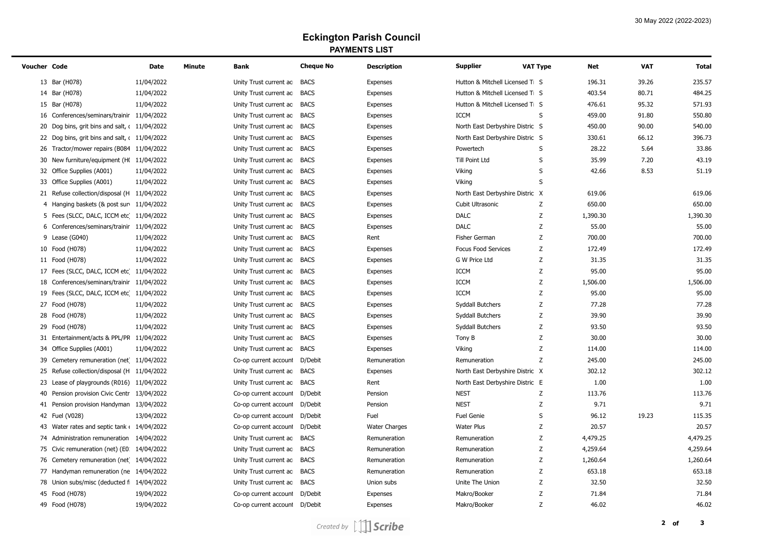# **Eckington Parish Council PAYMENTS LIST**

| Voucher Code |                                              | <b>Date</b> | <b>Minute</b> | <b>Bank</b>                 | <b>Cheque No</b> | <b>Description</b>   | <b>Supplier</b>                 | <b>VAT Type</b> | <b>Net</b> | <b>VAT</b> | <b>Total</b> |
|--------------|----------------------------------------------|-------------|---------------|-----------------------------|------------------|----------------------|---------------------------------|-----------------|------------|------------|--------------|
|              | 13 Bar (H078)                                | 11/04/2022  |               | Unity Trust current ac      | <b>BACS</b>      | Expenses             | Hutton & Mitchell Licensed Ti S |                 | 196.31     | 39.26      | 235.57       |
|              | 14 Bar (H078)                                | 11/04/2022  |               | Unity Trust current ac      | <b>BACS</b>      | Expenses             | Hutton & Mitchell Licensed Ti S |                 | 403.54     | 80.71      | 484.25       |
|              | 15 Bar (H078)                                | 11/04/2022  |               | Unity Trust current ac      | <b>BACS</b>      | Expenses             | Hutton & Mitchell Licensed Ti S |                 | 476.61     | 95.32      | 571.93       |
|              | 16 Conferences/seminars/trainir 11/04/2022   |             |               | Unity Trust current ac      | <b>BACS</b>      | Expenses             | <b>ICCM</b>                     | S               | 459.00     | 91.80      | 550.80       |
|              | 20 Dog bins, grit bins and salt, (11/04/2022 |             |               | Unity Trust current ac      | <b>BACS</b>      | Expenses             | North East Derbyshire Distric S |                 | 450.00     | 90.00      | 540.00       |
|              | 22 Dog bins, grit bins and salt, (11/04/2022 |             |               | Unity Trust current ac      | <b>BACS</b>      | Expenses             | North East Derbyshire Distric S |                 | 330.61     | 66.12      | 396.73       |
|              | 26 Tractor/mower repairs (B084 11/04/2022    |             |               | Unity Trust current ac      | <b>BACS</b>      | Expenses             | Powertech                       | S               | 28.22      | 5.64       | 33.86        |
|              | 30 New furniture/equipment (HI 11/04/2022    |             |               | Unity Trust current ac BACS |                  | Expenses             | Till Point Ltd                  | S               | 35.99      | 7.20       | 43.19        |
|              | 32 Office Supplies (A001)                    | 11/04/2022  |               | Unity Trust current ac      | <b>BACS</b>      | Expenses             | Viking                          | S               | 42.66      | 8.53       | 51.19        |
|              | 33 Office Supplies (A001)                    | 11/04/2022  |               | Unity Trust current ac      | <b>BACS</b>      | Expenses             | Viking                          | S               |            |            |              |
|              | 21 Refuse collection/disposal (H 11/04/2022  |             |               | Unity Trust current ac      | <b>BACS</b>      | Expenses             | North East Derbyshire Distric X |                 | 619.06     |            | 619.06       |
|              | 4 Hanging baskets (& post sur 11/04/2022     |             |               | Unity Trust current ac BACS |                  | Expenses             | Cubit Ultrasonic                | Z               | 650.00     |            | 650.00       |
|              | 5 Fees (SLCC, DALC, ICCM etc 11/04/2022      |             |               | Unity Trust current ac      | <b>BACS</b>      | Expenses             | <b>DALC</b>                     | Z               | 1,390.30   |            | 1,390.30     |
|              | 6 Conferences/seminars/trainir 11/04/2022    |             |               | Unity Trust current ac      | <b>BACS</b>      | Expenses             | <b>DALC</b>                     | Ζ               | 55.00      |            | 55.00        |
|              | 9 Lease (G040)                               | 11/04/2022  |               | Unity Trust current ac      | <b>BACS</b>      | Rent                 | <b>Fisher German</b>            | Z               | 700.00     |            | 700.00       |
|              | 10 Food (H078)                               | 11/04/2022  |               | Unity Trust current ac      | <b>BACS</b>      | Expenses             | <b>Focus Food Services</b>      | Z               | 172.49     |            | 172.49       |
|              | 11 Food (H078)                               | 11/04/2022  |               | Unity Trust current ac      | <b>BACS</b>      | Expenses             | G W Price Ltd                   | Ζ               | 31.35      |            | 31.35        |
|              | 17 Fees (SLCC, DALC, ICCM etc 11/04/2022     |             |               | Unity Trust current ac BACS |                  | Expenses             | <b>ICCM</b>                     | Z               | 95.00      |            | 95.00        |
|              | 18 Conferences/seminars/trainir 11/04/2022   |             |               | Unity Trust current ac      | <b>BACS</b>      | Expenses             | <b>ICCM</b>                     | Z               | 1,506.00   |            | 1,506.00     |
|              | 19 Fees (SLCC, DALC, ICCM etc 11/04/2022     |             |               | Unity Trust current ac      | <b>BACS</b>      | Expenses             | <b>ICCM</b>                     | Z               | 95.00      |            | 95.00        |
|              | 27 Food (H078)                               | 11/04/2022  |               | Unity Trust current ac      | <b>BACS</b>      | Expenses             | Syddall Butchers                | Z               | 77.28      |            | 77.28        |
|              | 28 Food (H078)                               | 11/04/2022  |               | Unity Trust current ac      | <b>BACS</b>      | Expenses             | Syddall Butchers                | Ζ               | 39.90      |            | 39.90        |
|              | 29 Food (H078)                               | 11/04/2022  |               | Unity Trust current ac      | <b>BACS</b>      | Expenses             | Syddall Butchers                | Ζ               | 93.50      |            | 93.50        |
|              | 31 Entertainment/acts & PPL/PR 11/04/2022    |             |               | Unity Trust current ac BACS |                  | Expenses             | Tony B                          | Z               | 30.00      |            | 30.00        |
|              | 34 Office Supplies (A001)                    | 11/04/2022  |               | Unity Trust current ac      | <b>BACS</b>      | Expenses             | Viking                          | Z               | 114.00     |            | 114.00       |
| 39           | Cemetery remuneration (net 11/04/2022        |             |               | Co-op current account       | D/Debit          | Remuneration         | Remuneration                    | Z               | 245.00     |            | 245.00       |
| 25           | Refuse collection/disposal (H 11/04/2022     |             |               | Unity Trust current ac      | <b>BACS</b>      | Expenses             | North East Derbyshire Distric X |                 | 302.12     |            | 302.12       |
| 23           | Lease of playgrounds (R016) 11/04/2022       |             |               | Unity Trust current ac      | <b>BACS</b>      | Rent                 | North East Derbyshire Distric E |                 | 1.00       |            | 1.00         |
| 40           | Pension provision Civic Centr 13/04/2022     |             |               | Co-op current account       | D/Debit          | Pension              | <b>NEST</b>                     | Z               | 113.76     |            | 113.76       |
|              | 41 Pension provision Handyman 13/04/2022     |             |               | Co-op current account       | D/Debit          | Pension              | <b>NEST</b>                     | Z               | 9.71       |            | 9.71         |
|              | 42 Fuel (V028)                               | 13/04/2022  |               | Co-op current account       | D/Debit          | Fuel                 | <b>Fuel Genie</b>               | S               | 96.12      | 19.23      | 115.35       |
|              | 43 Water rates and septic tank (14/04/2022)  |             |               | Co-op current account       | D/Debit          | <b>Water Charges</b> | <b>Water Plus</b>               | Z               | 20.57      |            | 20.57        |
|              | 74 Administration remuneration 14/04/2022    |             |               | Unity Trust current ac      | <b>BACS</b>      | Remuneration         | Remuneration                    | Z               | 4,479.25   |            | 4,479.25     |
|              | 75 Civic remuneration (net) (E0 14/04/2022   |             |               | Unity Trust current ac      | <b>BACS</b>      | Remuneration         | Remuneration                    | Z               | 4,259.64   |            | 4,259.64     |
|              | 76 Cemetery remuneration (net 14/04/2022     |             |               | Unity Trust current ac      | <b>BACS</b>      | Remuneration         | Remuneration                    | Ζ               | 1,260.64   |            | 1,260.64     |
|              | 77 Handyman remuneration (ne 14/04/2022      |             |               | Unity Trust current ac      | <b>BACS</b>      | Remuneration         | Remuneration                    | Z               | 653.18     |            | 653.18       |
|              | 78 Union subs/misc (deducted f 14/04/2022    |             |               | Unity Trust current ac      | <b>BACS</b>      | Union subs           | Unite The Union                 | Z               | 32.50      |            | 32.50        |
|              | 45 Food (H078)                               | 19/04/2022  |               | Co-op current account       | D/Debit          | Expenses             | Makro/Booker                    | Z               | 71.84      |            | 71.84        |
|              | 49 Food (H078)                               | 19/04/2022  |               | Co-op current account       | D/Debit          | Expenses             | Makro/Booker                    | Z               | 46.02      |            | 46.02        |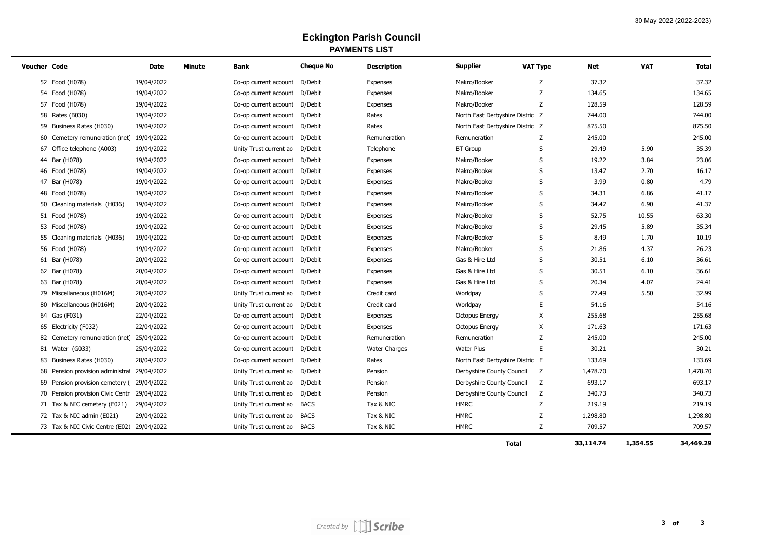# **Eckington Parish Council PAYMENTS LIST**

| Voucher Code |                                             | <b>Date</b> | <b>Minute</b> | <b>Bank</b>                    | <b>Cheque No</b> | <b>Description</b>   | <b>Supplier</b><br><b>VAT Type</b> | <b>Net</b> | <b>VAT</b> | <b>Total</b> |
|--------------|---------------------------------------------|-------------|---------------|--------------------------------|------------------|----------------------|------------------------------------|------------|------------|--------------|
|              | 52 Food (H078)                              | 19/04/2022  |               | Co-op current account          | D/Debit          | Expenses             | Makro/Booker<br>Z                  | 37.32      |            | 37.32        |
|              | 54 Food (H078)                              | 19/04/2022  |               | Co-op current account          | D/Debit          | Expenses             | Makro/Booker<br>Z                  | 134.65     |            | 134.65       |
|              | 57 Food (H078)                              | 19/04/2022  |               | Co-op current account          | D/Debit          | Expenses             | Makro/Booker<br>Z                  | 128.59     |            | 128.59       |
|              | 58 Rates (B030)                             | 19/04/2022  |               | Co-op current account          | D/Debit          | Rates                | North East Derbyshire Distric Z    | 744.00     |            | 744.00       |
|              | 59 Business Rates (H030)                    | 19/04/2022  |               | Co-op current account          | D/Debit          | Rates                | North East Derbyshire Distric Z    | 875.50     |            | 875.50       |
|              | 60 Cemetery remuneration (net 19/04/2022    |             |               | Co-op current account          | D/Debit          | Remuneration         | Z<br>Remuneration                  | 245.00     |            | 245.00       |
|              | 67 Office telephone (A003)                  | 19/04/2022  |               | Unity Trust current ac         | D/Debit          | Telephone            | <b>BT</b> Group<br>S               | 29.49      | 5.90       | 35.39        |
|              | 44 Bar (H078)                               | 19/04/2022  |               | Co-op current account          | D/Debit          | Expenses             | S<br>Makro/Booker                  | 19.22      | 3.84       | 23.06        |
|              | 46 Food (H078)                              | 19/04/2022  |               | Co-op current account          | D/Debit          | Expenses             | S<br>Makro/Booker                  | 13.47      | 2.70       | 16.17        |
|              | 47 Bar (H078)                               | 19/04/2022  |               | Co-op current account          | D/Debit          | Expenses             | S<br>Makro/Booker                  | 3.99       | 0.80       | 4.79         |
|              | 48 Food (H078)                              | 19/04/2022  |               | Co-op current account          | D/Debit          | Expenses             | S<br>Makro/Booker                  | 34.31      | 6.86       | 41.17        |
|              | 50 Cleaning materials (H036)                | 19/04/2022  |               | Co-op current account          | D/Debit          | Expenses             | S<br>Makro/Booker                  | 34.47      | 6.90       | 41.37        |
|              | 51 Food (H078)                              | 19/04/2022  |               | Co-op current account          | D/Debit          | Expenses             | S<br>Makro/Booker                  | 52.75      | 10.55      | 63.30        |
|              | 53 Food (H078)                              | 19/04/2022  |               | Co-op current account          | D/Debit          | Expenses             | S<br>Makro/Booker                  | 29.45      | 5.89       | 35.34        |
|              | 55 Cleaning materials (H036)                | 19/04/2022  |               | Co-op current account          | D/Debit          | Expenses             | S<br>Makro/Booker                  | 8.49       | 1.70       | 10.19        |
|              | 56 Food (H078)                              | 19/04/2022  |               | Co-op current account          | D/Debit          | Expenses             | S<br>Makro/Booker                  | 21.86      | 4.37       | 26.23        |
|              | 61 Bar (H078)                               | 20/04/2022  |               | Co-op current account          | D/Debit          | Expenses             | Gas & Hire Ltd<br>S                | 30.51      | 6.10       | 36.61        |
|              | 62 Bar (H078)                               | 20/04/2022  |               | Co-op current account          | D/Debit          | Expenses             | Gas & Hire Ltd<br>S                | 30.51      | 6.10       | 36.61        |
|              | 63 Bar (H078)                               | 20/04/2022  |               | Co-op current account          | D/Debit          | Expenses             | Gas & Hire Ltd<br>S                | 20.34      | 4.07       | 24.41        |
|              | 79 Miscellaneous (H016M)                    | 20/04/2022  |               | Unity Trust current ac         | D/Debit          | Credit card          | S<br>Worldpay                      | 27.49      | 5.50       | 32.99        |
|              | 80 Miscellaneous (H016M)                    | 20/04/2022  |               | Unity Trust current ac D/Debit |                  | Credit card          | Е<br>Worldpay                      | 54.16      |            | 54.16        |
|              | 64 Gas (F031)                               | 22/04/2022  |               | Co-op current account          | D/Debit          | Expenses             | X<br><b>Octopus Energy</b>         | 255.68     |            | 255.68       |
|              | 65 Electricity (F032)                       | 22/04/2022  |               | Co-op current account          | D/Debit          | Expenses             | X<br><b>Octopus Energy</b>         | 171.63     |            | 171.63       |
|              | 82 Cemetery remuneration (net 25/04/2022    |             |               | Co-op current account          | D/Debit          | Remuneration         | Z<br>Remuneration                  | 245.00     |            | 245.00       |
|              | 81 Water (G033)                             | 25/04/2022  |               | Co-op current account          | D/Debit          | <b>Water Charges</b> | <b>Water Plus</b><br>E.            | 30.21      |            | 30.21        |
|              | 83 Business Rates (H030)                    | 28/04/2022  |               | Co-op current account          | D/Debit          | Rates                | North East Derbyshire Distric E    | 133.69     |            | 133.69       |
| 68           | Pension provision administra 29/04/2022     |             |               | Unity Trust current ac         | D/Debit          | Pension              | Z<br>Derbyshire County Council     | 1,478.70   |            | 1,478.70     |
|              | 69 Pension provision cemetery (29/04/2022   |             |               | Unity Trust current ac         | D/Debit          | Pension              | Derbyshire County Council<br>Z     | 693.17     |            | 693.17       |
|              | 70 Pension provision Civic Centr 29/04/2022 |             |               | Unity Trust current ac         | D/Debit          | Pension              | Derbyshire County Council<br>Z     | 340.73     |            | 340.73       |
|              | 71 Tax & NIC cemetery (E021)                | 29/04/2022  |               | Unity Trust current ac         | <b>BACS</b>      | Tax & NIC            | <b>HMRC</b><br>Z                   | 219.19     |            | 219.19       |
|              | 72 Tax & NIC admin (E021)                   | 29/04/2022  |               | Unity Trust current ac         | <b>BACS</b>      | Tax & NIC            | Z<br><b>HMRC</b>                   | 1,298.80   |            | 1,298.80     |
|              | 73 Tax & NIC Civic Centre (E02: 29/04/2022  |             |               | Unity Trust current ac BACS    |                  | Tax & NIC            | <b>HMRC</b><br>Z                   | 709.57     |            | 709.57       |
|              |                                             |             |               |                                |                  |                      | <b>Total</b>                       | 33,114.74  | 1,354.55   | 34,469.29    |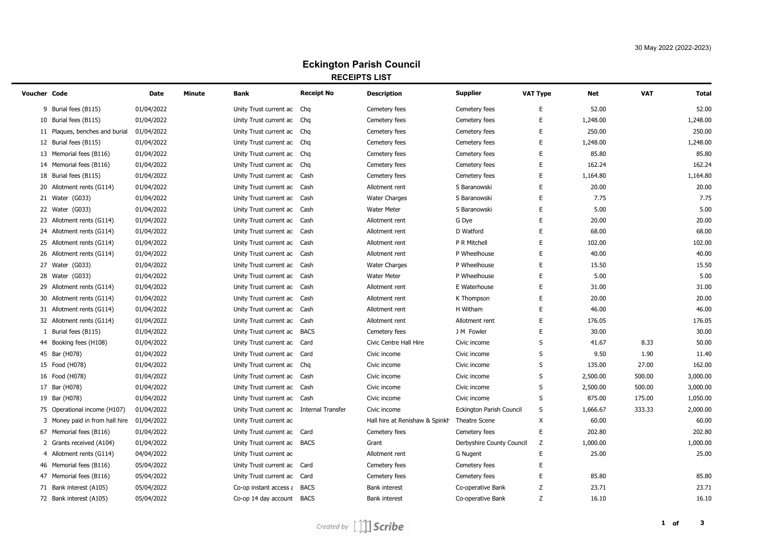# **Eckington Parish Council RECEIPTS LIST**

| Voucher Code |                                         | Date       | Minute | Bank                                     | <b>Receipt No</b> | <b>Description</b>             | <b>Supplier</b>           | <b>VAT Type</b> | Net      | <b>VAT</b> | <b>Total</b> |
|--------------|-----------------------------------------|------------|--------|------------------------------------------|-------------------|--------------------------------|---------------------------|-----------------|----------|------------|--------------|
|              | 9 Burial fees (B115)                    | 01/04/2022 |        | Unity Trust current ac                   | Chg               | Cemetery fees                  | Cemetery fees             | E               | 52.00    |            | 52.00        |
|              | 10 Burial fees (B115)                   | 01/04/2022 |        | Unity Trust current ac                   | Chq               | Cemetery fees                  | Cemetery fees             | E               | 1,248.00 |            | 1,248.00     |
|              | 11 Plagues, benches and burial          | 01/04/2022 |        | Unity Trust current ac Chq               |                   | Cemetery fees                  | Cemetery fees             | E               | 250.00   |            | 250.00       |
|              | 12 Burial fees (B115)                   | 01/04/2022 |        | Unity Trust current ac Chq               |                   | Cemetery fees                  | Cemetery fees             | E               | 1,248.00 |            | 1,248.00     |
|              | 13 Memorial fees (B116)                 | 01/04/2022 |        | Unity Trust current ac Chq               |                   | Cemetery fees                  | Cemetery fees             | E               | 85.80    |            | 85.80        |
|              | 14 Memorial fees (B116)                 | 01/04/2022 |        | Unity Trust current ac Chq               |                   | Cemetery fees                  | Cemetery fees             | E               | 162.24   |            | 162.24       |
|              | 18 Burial fees (B115)                   | 01/04/2022 |        | Unity Trust current ac                   | Cash              | Cemetery fees                  | Cemetery fees             | E               | 1,164.80 |            | 1,164.80     |
|              | 20 Allotment rents (G114)               | 01/04/2022 |        | Unity Trust current ac                   | Cash              | Allotment rent                 | S Baranowski              | E               | 20.00    |            | 20.00        |
|              | 21 Water (G033)                         | 01/04/2022 |        | Unity Trust current ac Cash              |                   | <b>Water Charges</b>           | S Baranowski              | E               | 7.75     |            | 7.75         |
|              | 22 Water (G033)                         | 01/04/2022 |        | Unity Trust current ac Cash              |                   | <b>Water Meter</b>             | S Baranowski              | E               | 5.00     |            | 5.00         |
|              | 23 Allotment rents (G114)               | 01/04/2022 |        | Unity Trust current ac Cash              |                   | Allotment rent                 | G Dye                     | E               | 20.00    |            | 20.00        |
|              | 24 Allotment rents (G114)               | 01/04/2022 |        | Unity Trust current ac Cash              |                   | Allotment rent                 | D Watford                 | E               | 68.00    |            | 68.00        |
|              | 25 Allotment rents (G114)               | 01/04/2022 |        | Unity Trust current ac Cash              |                   | Allotment rent                 | P R Mitchell              | E               | 102.00   |            | 102.00       |
|              | 26 Allotment rents (G114)               | 01/04/2022 |        | Unity Trust current ac Cash              |                   | Allotment rent                 | P Wheelhouse              | $\mathsf E$     | 40.00    |            | 40.00        |
|              | 27 Water (G033)                         | 01/04/2022 |        | Unity Trust current ac Cash              |                   | <b>Water Charges</b>           | P Wheelhouse              | E               | 15.50    |            | 15.50        |
|              | 28 Water (G033)                         | 01/04/2022 |        | Unity Trust current ac Cash              |                   | <b>Water Meter</b>             | P Wheelhouse              | E               | 5.00     |            | 5.00         |
|              | 29 Allotment rents (G114)               | 01/04/2022 |        | Unity Trust current ac Cash              |                   | Allotment rent                 | E Waterhouse              | E               | 31.00    |            | 31.00        |
|              | 30 Allotment rents (G114)               | 01/04/2022 |        | Unity Trust current ac Cash              |                   | Allotment rent                 | K Thompson                | E               | 20.00    |            | 20.00        |
|              | 31 Allotment rents (G114)               | 01/04/2022 |        | Unity Trust current ac Cash              |                   | Allotment rent                 | H Witham                  | E               | 46.00    |            | 46.00        |
|              | 32 Allotment rents (G114)               | 01/04/2022 |        | Unity Trust current ac Cash              |                   | Allotment rent                 | Allotment rent            | E               | 176.05   |            | 176.05       |
| 1            | Burial fees (B115)                      | 01/04/2022 |        | Unity Trust current ac BACS              |                   | Cemetery fees                  | J M Fowler                | E               | 30.00    |            | 30.00        |
|              | 44 Booking fees (H108)                  | 01/04/2022 |        | Unity Trust current ac Card              |                   | Civic Centre Hall Hire         | Civic income              | S               | 41.67    | 8.33       | 50.00        |
|              | 45 Bar (H078)                           | 01/04/2022 |        | Unity Trust current ac Card              |                   | Civic income                   | Civic income              | $\sf S$         | 9.50     | 1.90       | 11.40        |
|              | 15 Food (H078)                          | 01/04/2022 |        | Unity Trust current ac Chq               |                   | Civic income                   | Civic income              | $\sf S$         | 135.00   | 27.00      | 162.00       |
|              | 16 Food (H078)                          | 01/04/2022 |        | Unity Trust current ac Cash              |                   | Civic income                   | Civic income              | S               | 2,500.00 | 500.00     | 3,000.00     |
|              | 17 Bar (H078)                           | 01/04/2022 |        | Unity Trust current ac Cash              |                   | Civic income                   | Civic income              | $\sf S$         | 2,500.00 | 500.00     | 3,000.00     |
|              | 19 Bar (H078)                           | 01/04/2022 |        | Unity Trust current ac Cash              |                   | Civic income                   | Civic income              | S               | 875.00   | 175.00     | 1,050.00     |
|              | 75 Operational income (H107)            | 01/04/2022 |        | Unity Trust current ac Internal Transfer |                   | Civic income                   | Eckington Parish Council  | S               | 1,666.67 | 333.33     | 2,000.00     |
| 3            | Money paid in from hall hire 01/04/2022 |            |        | Unity Trust current ac                   |                   | Hall hire at Renishaw & Spinkh | Theatre Scene             | X               | 60.00    |            | 60.00        |
|              | 67 Memorial fees (B116)                 | 01/04/2022 |        | Unity Trust current ac Card              |                   | Cemetery fees                  | Cemetery fees             | E               | 202.80   |            | 202.80       |
|              | 2 Grants received (A104)                | 01/04/2022 |        | Unity Trust current ac BACS              |                   | Grant                          | Derbyshire County Council | Z               | 1,000.00 |            | 1,000.00     |
|              | 4 Allotment rents (G114)                | 04/04/2022 |        | Unity Trust current ac                   |                   | Allotment rent                 | G Nugent                  | E               | 25.00    |            | 25.00        |
|              | 46 Memorial fees (B116)                 | 05/04/2022 |        | Unity Trust current ac Card              |                   | Cemetery fees                  | Cemetery fees             | E               |          |            |              |
|              | 47 Memorial fees (B116)                 | 05/04/2022 |        | Unity Trust current ac Card              |                   | Cemetery fees                  | Cemetery fees             | E               | 85.80    |            | 85.80        |
|              | 71 Bank interest (A105)                 | 05/04/2022 |        | Co-op instant access a BACS              |                   | <b>Bank interest</b>           | Co-operative Bank         | Z               | 23.71    |            | 23.71        |
|              | 72 Bank interest (A105)                 | 05/04/2022 |        | Co-op 14 day account BACS                |                   | <b>Bank interest</b>           | Co-operative Bank         | Z               | 16.10    |            | 16.10        |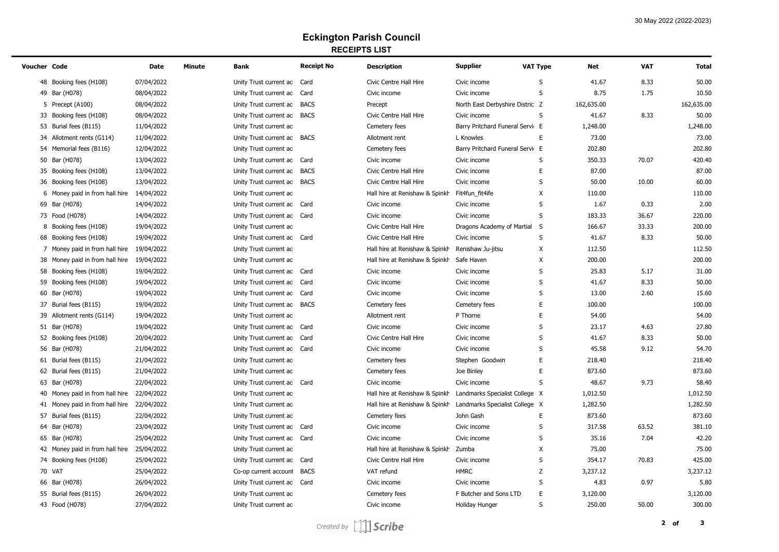# **Eckington Parish Council RECEIPTS LIST**

| Voucher Code |                                           | <b>Date</b> | <b>Minute</b> | Bank                        | <b>Receipt No</b> | <b>Description</b>             | <b>Supplier</b>                 | <b>VAT Type</b>           | <b>Net</b> | <b>VAT</b> | <b>Total</b> |
|--------------|-------------------------------------------|-------------|---------------|-----------------------------|-------------------|--------------------------------|---------------------------------|---------------------------|------------|------------|--------------|
|              | 48 Booking fees (H108)                    | 07/04/2022  |               | Unity Trust current ac Card |                   | Civic Centre Hall Hire         | Civic income                    | S                         | 41.67      | 8.33       | 50.00        |
|              | 49 Bar (H078)                             | 08/04/2022  |               | Unity Trust current ac Card |                   | Civic income                   | Civic income                    | S                         | 8.75       | 1.75       | 10.50        |
|              | 5 Precept (A100)                          | 08/04/2022  |               | Unity Trust current ac      | <b>BACS</b>       | Precept                        | North East Derbyshire Distric Z |                           | 162,635.00 |            | 162,635.00   |
|              | 33 Booking fees (H108)                    | 08/04/2022  |               | Unity Trust current ac BACS |                   | Civic Centre Hall Hire         | Civic income                    | S                         | 41.67      | 8.33       | 50.00        |
|              | 53 Burial fees (B115)                     | 11/04/2022  |               | Unity Trust current ac      |                   | Cemetery fees                  | Barry Pritchard Funeral Servi E |                           | 1,248.00   |            | 1,248.00     |
|              | 34 Allotment rents (G114)                 | 11/04/2022  |               | Unity Trust current ac BACS |                   | Allotment rent                 | L Knowles                       | E                         | 73.00      |            | 73.00        |
|              | 54 Memorial fees (B116)                   | 12/04/2022  |               | Unity Trust current ac      |                   | Cemetery fees                  | Barry Pritchard Funeral Servi E |                           | 202.80     |            | 202.80       |
|              | 50 Bar (H078)                             | 13/04/2022  |               | Unity Trust current ac Card |                   | Civic income                   | Civic income                    | S                         | 350.33     | 70.07      | 420.40       |
|              | 35 Booking fees (H108)                    | 13/04/2022  |               | Unity Trust current ac      | <b>BACS</b>       | Civic Centre Hall Hire         | Civic income                    | $\mathsf E$               | 87.00      |            | 87.00        |
|              | 36 Booking fees (H108)                    | 13/04/2022  |               | Unity Trust current ac BACS |                   | Civic Centre Hall Hire         | Civic income                    | S                         | 50.00      | 10.00      | 60.00        |
|              | 6 Money paid in from hall hire            | 14/04/2022  |               | Unity Trust current ac      |                   | Hall hire at Renishaw & Spinkh | Fit4fun_fit4ife                 | $\boldsymbol{\mathsf{X}}$ | 110.00     |            | 110.00       |
|              | 69 Bar (H078)                             | 14/04/2022  |               | Unity Trust current ac Card |                   | Civic income                   | Civic income                    | S                         | 1.67       | 0.33       | 2.00         |
|              | 73 Food (H078)                            | 14/04/2022  |               | Unity Trust current ac Card |                   | Civic income                   | Civic income                    | S                         | 183.33     | 36.67      | 220.00       |
| 8            | Booking fees (H108)                       | 19/04/2022  |               | Unity Trust current ac      |                   | Civic Centre Hall Hire         | Dragons Academy of Martial      | S                         | 166.67     | 33.33      | 200.00       |
|              | 68 Booking fees (H108)                    | 19/04/2022  |               | Unity Trust current ac Card |                   | Civic Centre Hall Hire         | Civic income                    | S                         | 41.67      | 8.33       | 50.00        |
|              | 7 Money paid in from hall hire 19/04/2022 |             |               | Unity Trust current ac      |                   | Hall hire at Renishaw & Spinkh | Renishaw Ju-jitsu               | $\mathsf{X}$              | 112.50     |            | 112.50       |
|              | 38 Money paid in from hall hire           | 19/04/2022  |               | Unity Trust current ac      |                   | Hall hire at Renishaw & Spinkh | Safe Haven                      | $\boldsymbol{\mathsf{X}}$ | 200.00     |            | 200.00       |
|              | 58 Booking fees (H108)                    | 19/04/2022  |               | Unity Trust current ac Card |                   | Civic income                   | Civic income                    | S                         | 25.83      | 5.17       | 31.00        |
|              | 59 Booking fees (H108)                    | 19/04/2022  |               | Unity Trust current ac Card |                   | Civic income                   | Civic income                    | S                         | 41.67      | 8.33       | 50.00        |
|              | 60 Bar (H078)                             | 19/04/2022  |               | Unity Trust current ac Card |                   | Civic income                   | Civic income                    | $\mathsf S$               | 13.00      | 2.60       | 15.60        |
|              | 37 Burial fees (B115)                     | 19/04/2022  |               | Unity Trust current ac BACS |                   | Cemetery fees                  | Cemetery fees                   | E                         | 100.00     |            | 100.00       |
|              | 39 Allotment rents (G114)                 | 19/04/2022  |               | Unity Trust current ac      |                   | Allotment rent                 | P Thorne                        | E                         | 54.00      |            | 54.00        |
|              | 51 Bar (H078)                             | 19/04/2022  |               | Unity Trust current ac Card |                   | Civic income                   | Civic income                    | $\sf S$                   | 23.17      | 4.63       | 27.80        |
|              | 52 Booking fees (H108)                    | 20/04/2022  |               | Unity Trust current ac Card |                   | Civic Centre Hall Hire         | Civic income                    | S                         | 41.67      | 8.33       | 50.00        |
|              | 56 Bar (H078)                             | 21/04/2022  |               | Unity Trust current ac Card |                   | Civic income                   | Civic income                    | S                         | 45.58      | 9.12       | 54.70        |
|              | 61 Burial fees (B115)                     | 21/04/2022  |               | Unity Trust current ac      |                   | Cemetery fees                  | Stephen Goodwin                 | E                         | 218.40     |            | 218.40       |
|              | 62 Burial fees (B115)                     | 21/04/2022  |               | Unity Trust current ac      |                   | Cemetery fees                  | Joe Binley                      | E                         | 873.60     |            | 873.60       |
|              | 63 Bar (H078)                             | 22/04/2022  |               | Unity Trust current ac Card |                   | Civic income                   | Civic income                    | $\sf S$                   | 48.67      | 9.73       | 58.40        |
|              | 40 Money paid in from hall hire           | 22/04/2022  |               | Unity Trust current ac      |                   | Hall hire at Renishaw & Spinkh | Landmarks Specialist College X  |                           | 1,012.50   |            | 1,012.50     |
|              | 41 Money paid in from hall hire           | 22/04/2022  |               | Unity Trust current ac      |                   | Hall hire at Renishaw & Spinkh | Landmarks Specialist College X  |                           | 1,282.50   |            | 1,282.50     |
|              | 57 Burial fees (B115)                     | 22/04/2022  |               | Unity Trust current ac      |                   | Cemetery fees                  | John Gash                       | E                         | 873.60     |            | 873.60       |
|              | 64 Bar (H078)                             | 23/04/2022  |               | Unity Trust current ac Card |                   | Civic income                   | Civic income                    | S                         | 317.58     | 63.52      | 381.10       |
|              | 65 Bar (H078)                             | 25/04/2022  |               | Unity Trust current ac Card |                   | Civic income                   | Civic income                    | S                         | 35.16      | 7.04       | 42.20        |
|              | 42 Money paid in from hall hire           | 25/04/2022  |               | Unity Trust current ac      |                   | Hall hire at Renishaw & Spinkh | Zumba                           | $\boldsymbol{\mathsf{X}}$ | 75.00      |            | 75.00        |
|              | 74 Booking fees (H108)                    | 25/04/2022  |               | Unity Trust current ac Card |                   | Civic Centre Hall Hire         | Civic income                    | S                         | 354.17     | 70.83      | 425.00       |
|              | 70 VAT                                    | 25/04/2022  |               | Co-op current account       | <b>BACS</b>       | VAT refund                     | <b>HMRC</b>                     | Z                         | 3,237.12   |            | 3,237.12     |
|              | 66 Bar (H078)                             | 26/04/2022  |               | Unity Trust current ac Card |                   | Civic income                   | Civic income                    | S                         | 4.83       | 0.97       | 5.80         |
|              | 55 Burial fees (B115)                     | 26/04/2022  |               | Unity Trust current ac      |                   | Cemetery fees                  | F Butcher and Sons LTD          | E                         | 3,120.00   |            | 3,120.00     |
|              | 43 Food (H078)                            | 27/04/2022  |               | Unity Trust current ac      |                   | Civic income                   | <b>Holiday Hunger</b>           | S                         | 250.00     | 50.00      | 300.00       |